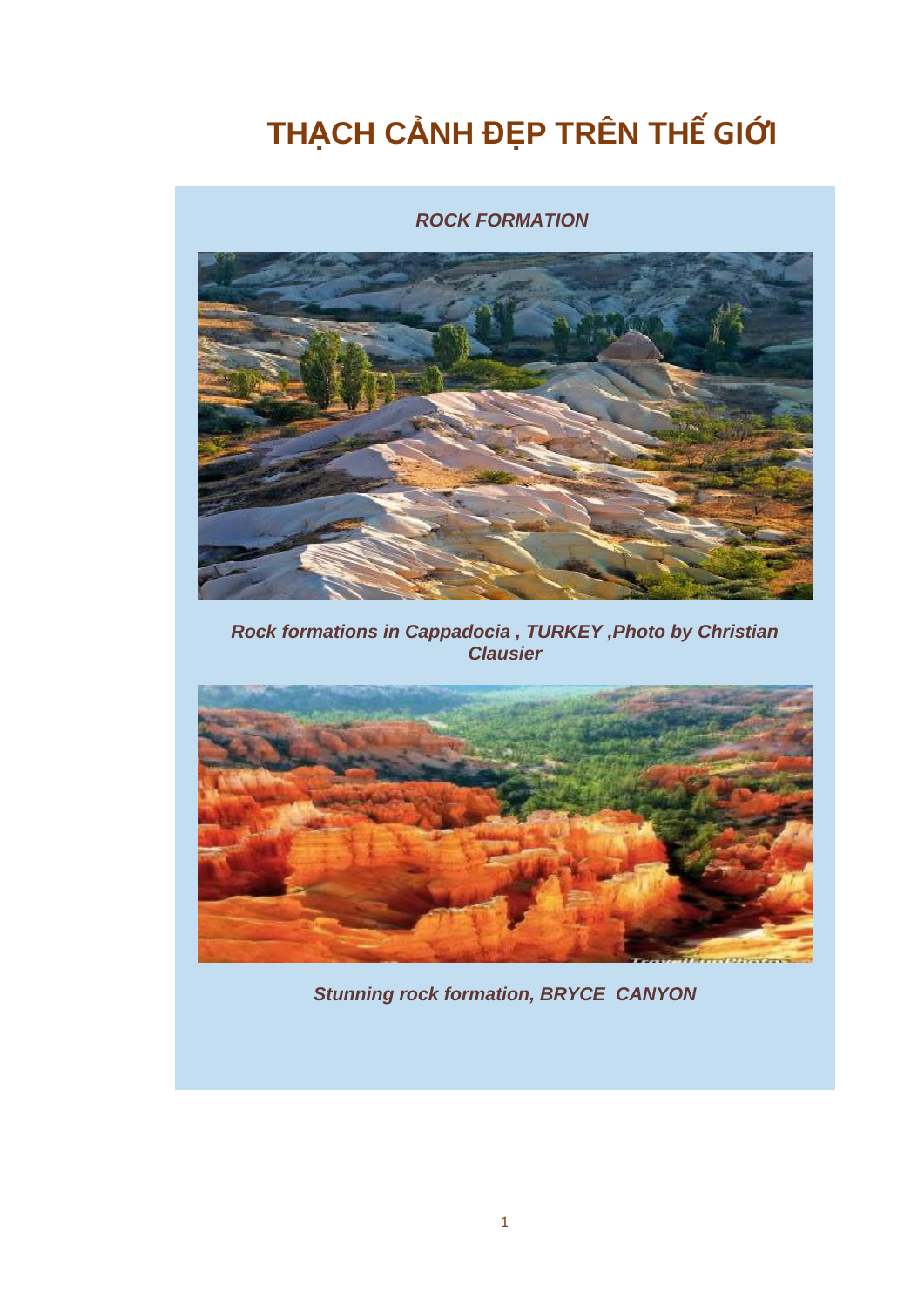## THẠCH CẢNH ĐỆP TRÊN THẾ GIỚI

## **ROCK FORMATION**



Rock formations in Cappadocia, TURKEY, Photo by Christian **Clausier** 



**Stunning rock formation, BRYCE CANYON**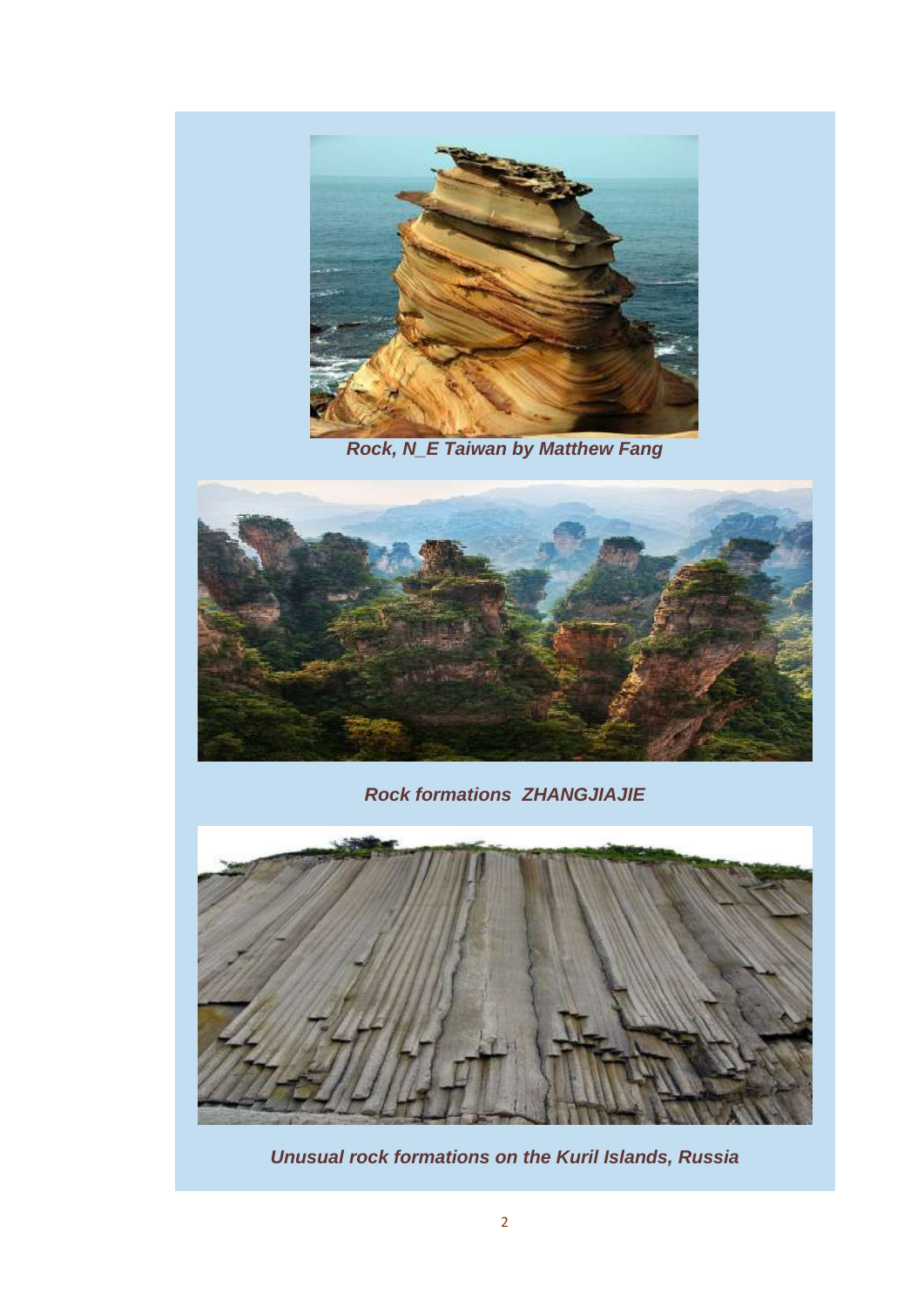

*Rock, N\_E Taiwan by Matthew Fang*



*Rock formations ZHANGJIAJIE*



*Unusual rock formations on the Kuril Islands, Russia*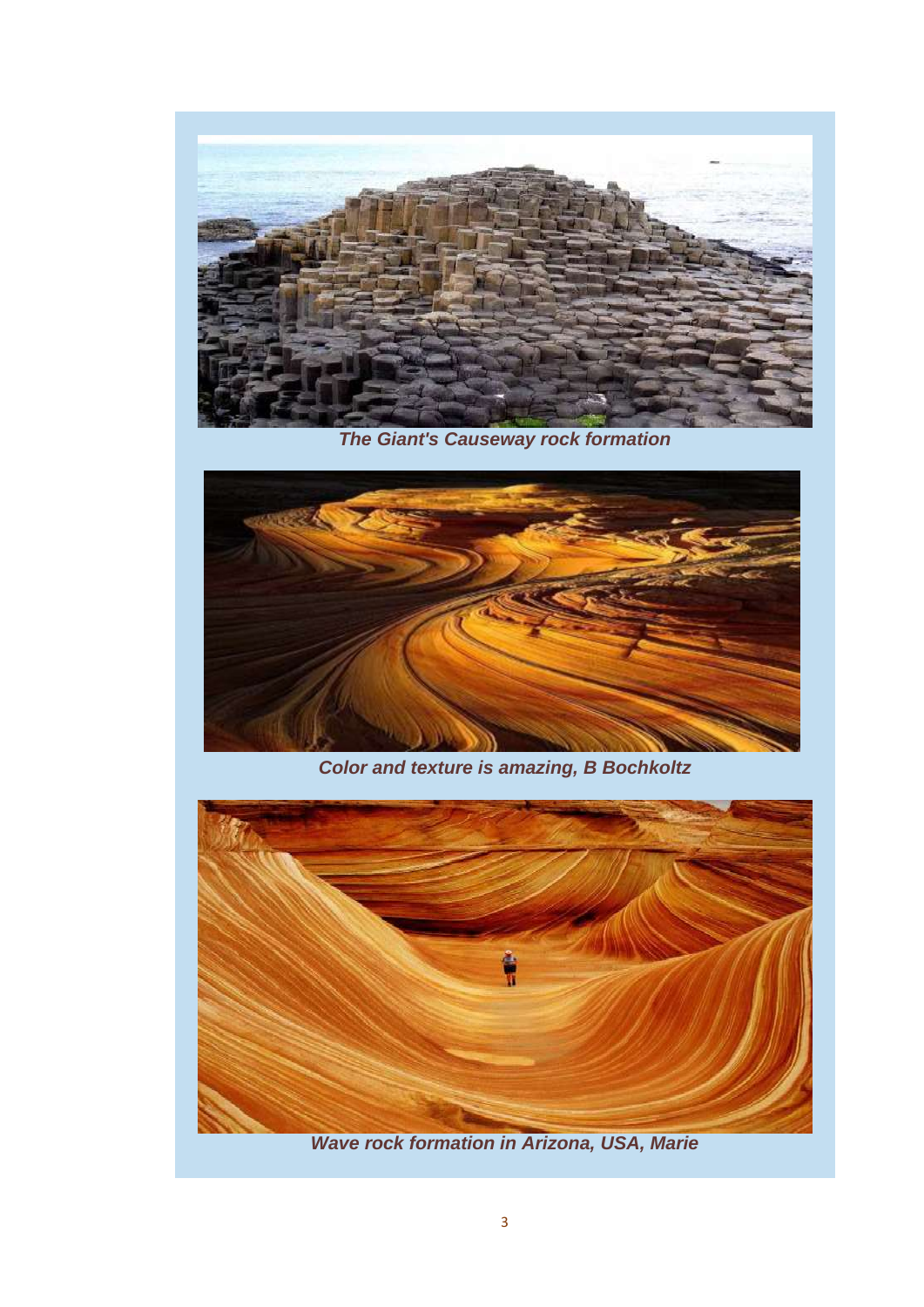

*The Giant's Causeway rock formation*



*Color and texture is amazing, B Bochkoltz*



*Wave rock formation in Arizona, USA, Marie*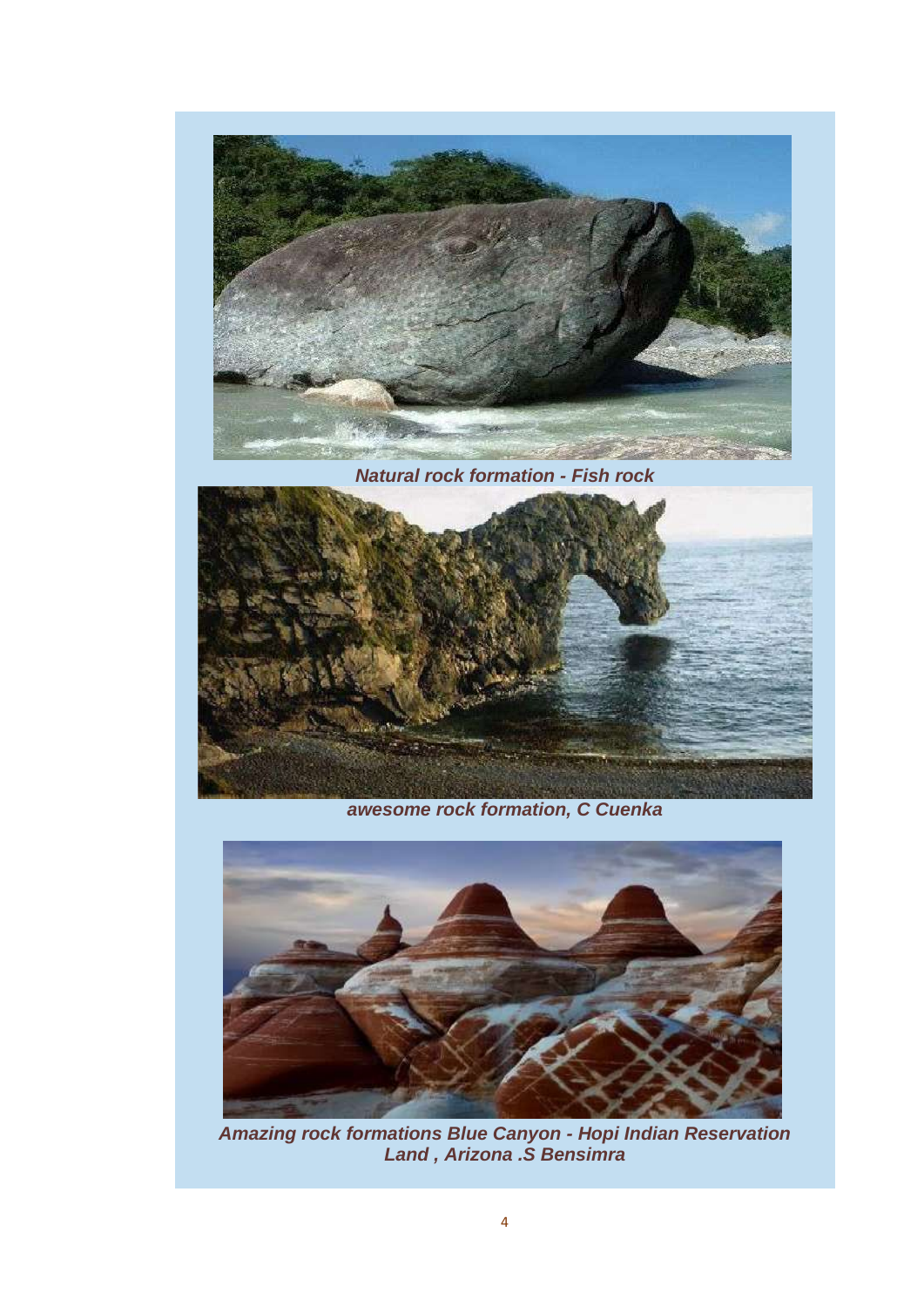

**Natural rock formation - Fish rock** 



awesome rock formation, C Cuenka



Amazing rock formations Blue Canyon - Hopi Indian Reservation<br>Land, Arizona .S Bensimra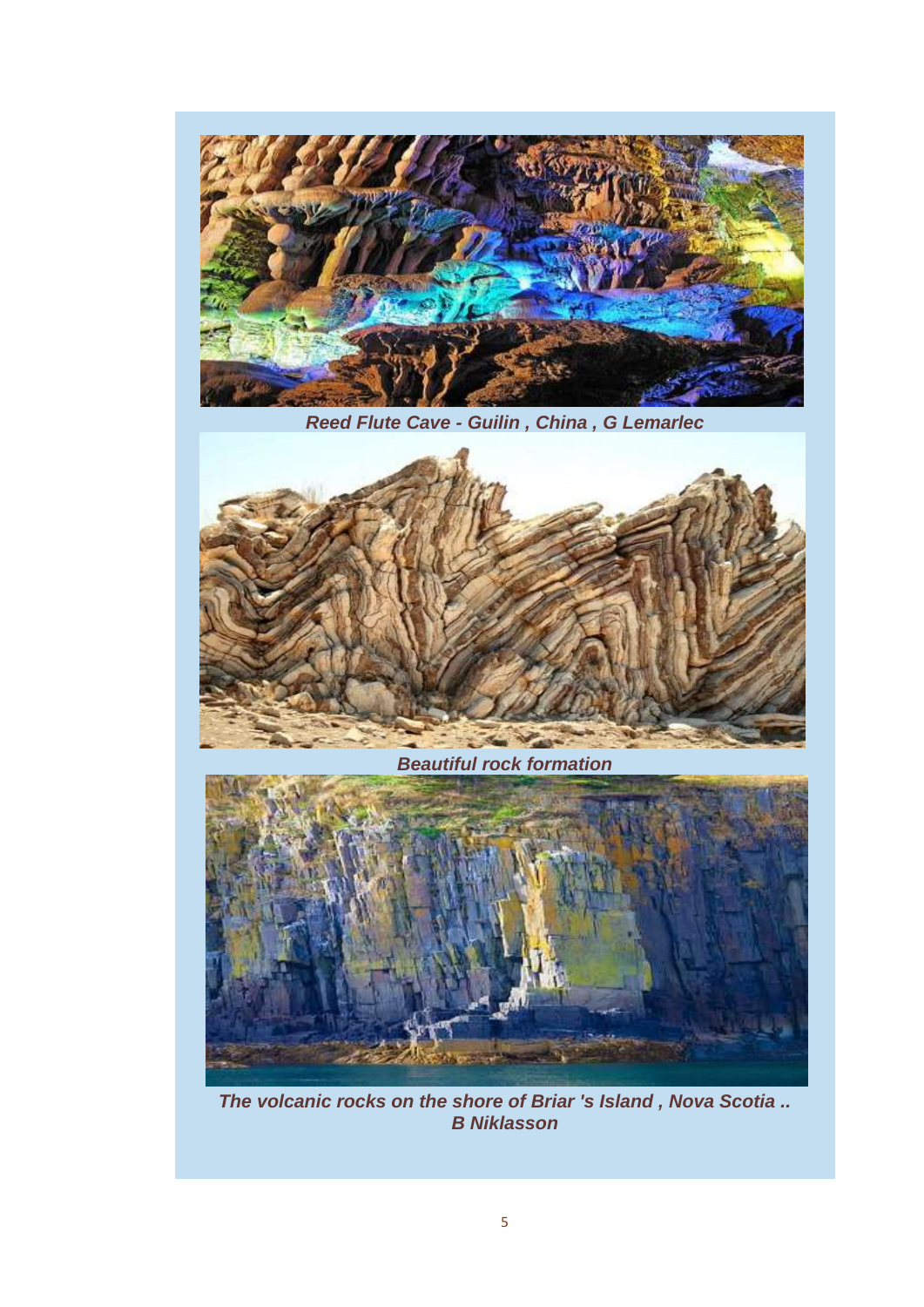

*Reed Flute Cave - Guilin , China , G Lemarlec*



*Beautiful rock formation*



*The volcanic rocks on the shore of Briar 's Island , Nova Scotia .. B Niklasson*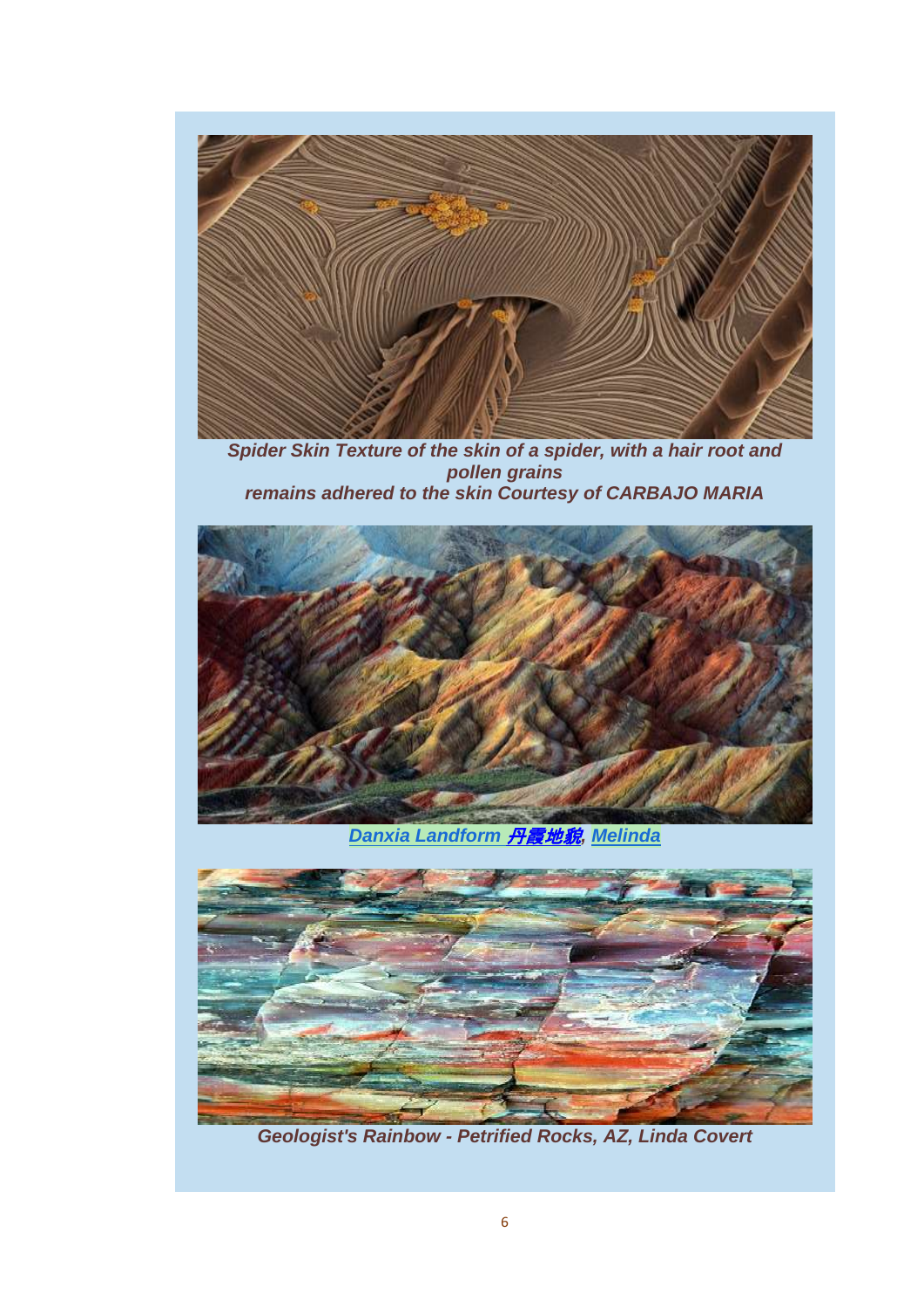

*Spider Skin Texture of the skin of a spider, with a hair root and pollen grains remains adhered to the skin Courtesy of CARBAJO MARIA*



*[Danxia Landform](http://www.flickr.com/photos/chanmelmel/7199909528/)* 丹霞地貌*, [Melinda](http://www.flickr.com/photos/chanmelmel/)*



*Geologist's Rainbow - Petrified Rocks, AZ, Linda Covert*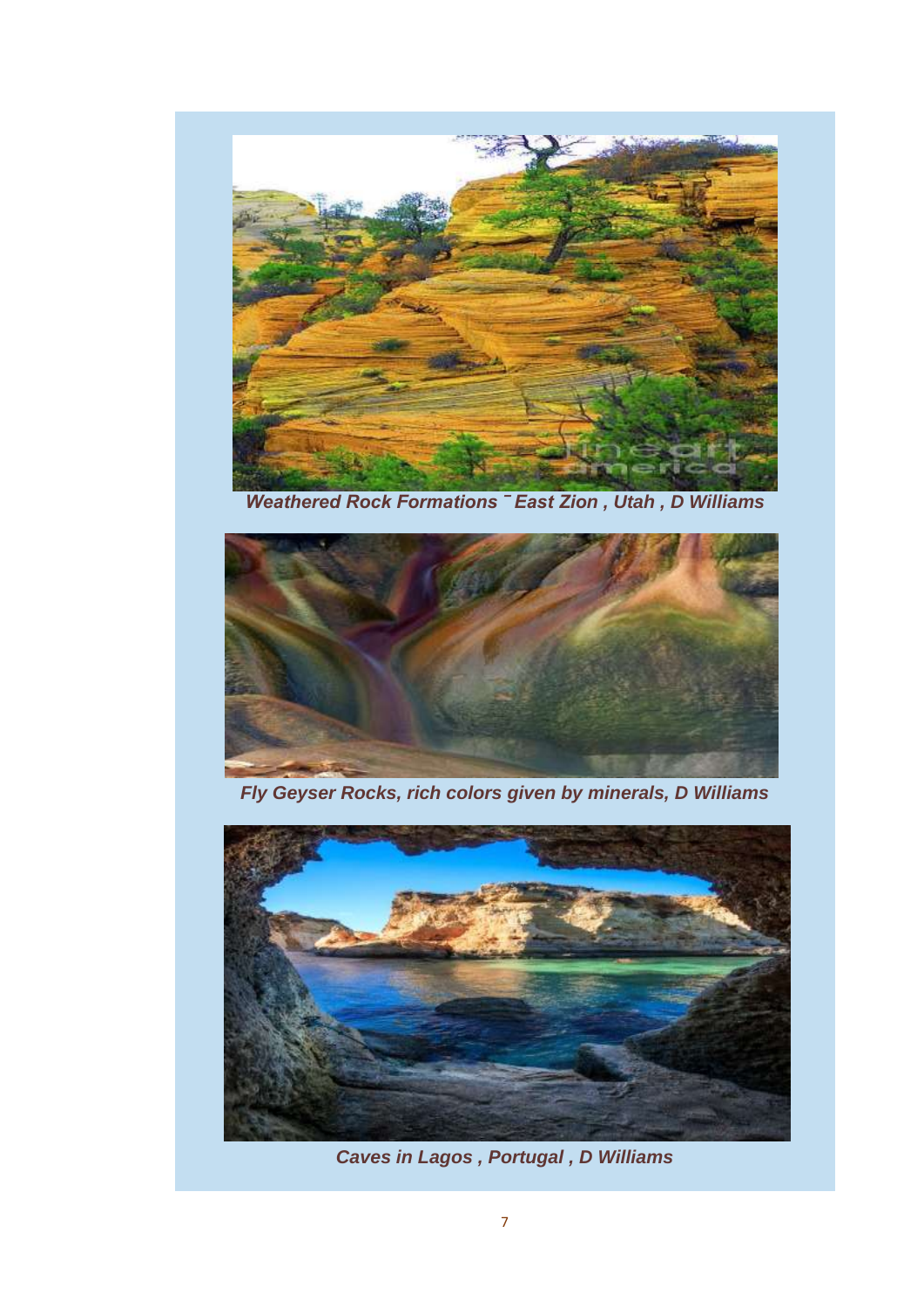

*Weathered Rock Formations ‾ East Zion , Utah , D Williams*



*Fly Geyser Rocks, rich colors given by minerals, D Williams*



*Caves in Lagos , Portugal , D Williams*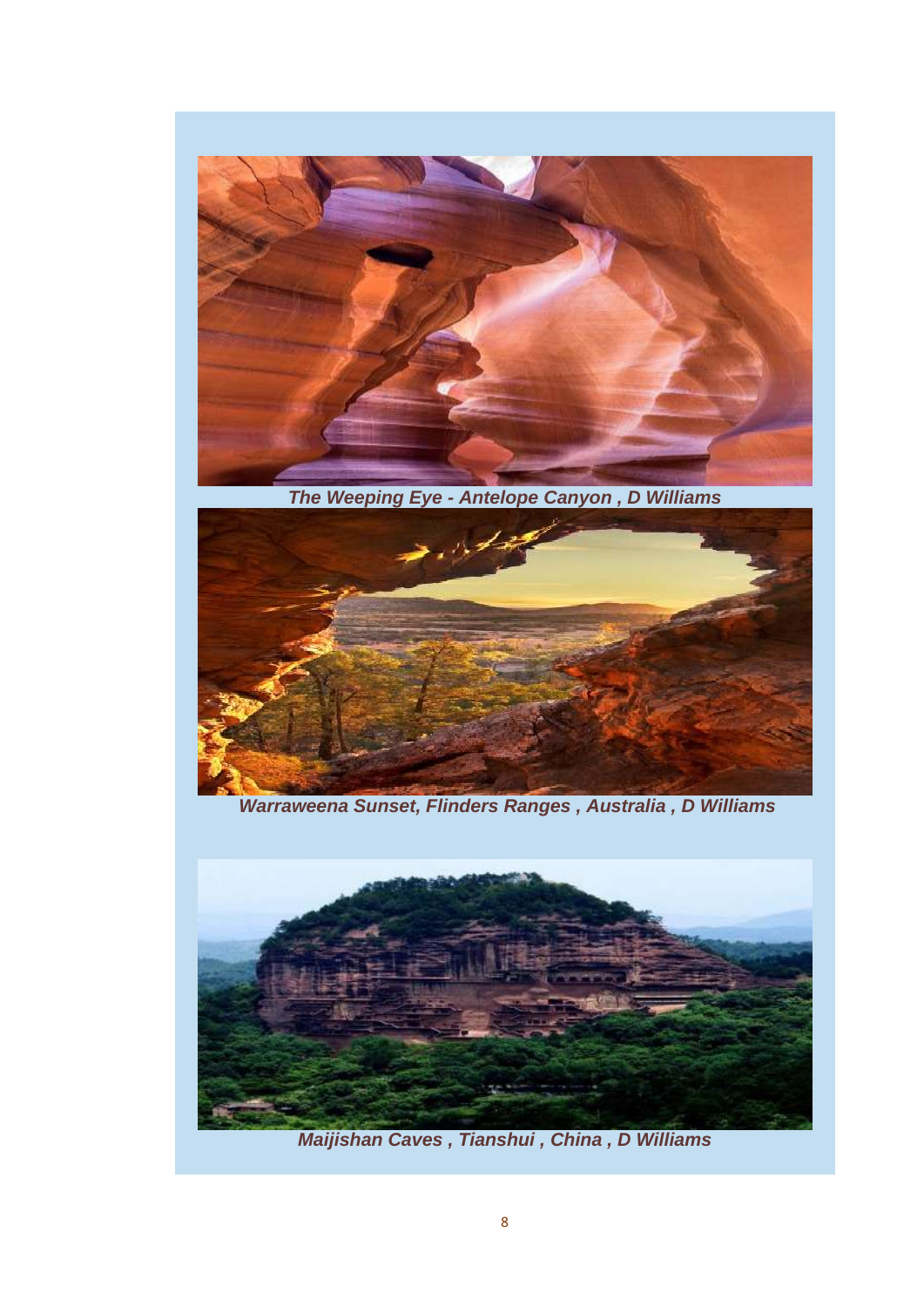

*The Weeping Eye - Antelope Canyon , D Williams*



*Warraweena Sunset, Flinders Ranges , Australia , D Williams*



*Maijishan Caves , Tianshui , China , D Williams*